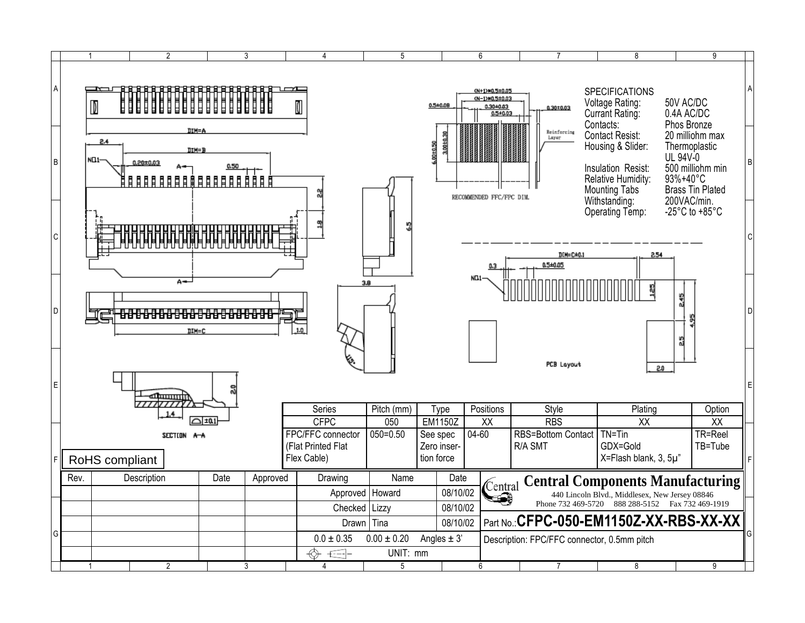|                     | $\overline{2}$                                 | 3                      | 4                                                      | 5               |                                       | 6                                                                                         | $\overline{7}$                              | 8                                                                                                                                                                                           |                                                                                                                                                   | 9                  |   |
|---------------------|------------------------------------------------|------------------------|--------------------------------------------------------|-----------------|---------------------------------------|-------------------------------------------------------------------------------------------|---------------------------------------------|---------------------------------------------------------------------------------------------------------------------------------------------------------------------------------------------|---------------------------------------------------------------------------------------------------------------------------------------------------|--------------------|---|
| $\overline{A}$<br>B | D<br>2.4<br>NO <sub>1</sub> -<br>$0.20 + 0.03$ | DIM=A<br>DTM=B<br>0.50 |                                                        |                 | 3,00±0,30<br>00±0.50                  | CN+1>MO.5±0.05<br>(N-1)#0,5±0.03<br>0.30±0.03<br>$0.5 + 0.03$<br>RECOMMENDED FFC/FPC DIM. | $0.30 + 0.03$<br>Reinforcing<br>Layer       | <b>SPECIFICATIONS</b><br>Voltage Rating:<br>Currant Rating:<br>Contacts:<br><b>Contact Resist:</b><br>Housing & Slider:<br>Insulation Resist:<br>Relative Humidity:<br><b>Mounting Tabs</b> | 50V AC/DC<br>0.4A AC/DC<br>Phos Bronze<br>20 milliohm max<br>Thermoplastic<br>UL 94V-0<br>500 milliohm min<br>93%+40°C<br><b>Brass Tin Plated</b> |                    | B |
| $\overline{C}$<br>D | A÷                                             | <b>DIM=C</b>           | 1.0                                                    | 3.8             |                                       | NO <sub>1</sub> .                                                                         | DIM=C±0.1<br>0.5±0.05<br><b>PCB Layout</b>  | Withstanding:<br>Operating Temp:<br>2.54<br>2.0                                                                                                                                             | 200VAC/min.<br>-25 $^{\circ}$ C to +85 $^{\circ}$ C<br>245<br>5g                                                                                  |                    |   |
| E                   | سسته                                           |                        |                                                        |                 |                                       |                                                                                           |                                             |                                                                                                                                                                                             |                                                                                                                                                   |                    |   |
|                     |                                                |                        | Series                                                 | Pitch (mm)      | Type                                  | Positions                                                                                 | Style                                       | Plating                                                                                                                                                                                     |                                                                                                                                                   | Option             |   |
|                     |                                                | ∩±0.1                  | <b>CFPC</b>                                            | 050             | <b>EM1150Z</b>                        | $\overline{XX}$                                                                           | <b>RBS</b>                                  | $\overline{XX}$                                                                                                                                                                             |                                                                                                                                                   | XX                 |   |
|                     | SECTION A-A<br>RoHS compliant                  |                        | FPC/FFC connector<br>(Flat Printed Flat<br>Flex Cable) | $050 = 0.50$    | See spec<br>Zero inser-<br>tion force | $04 - 60$                                                                                 | <b>RBS=Bottom Contact</b><br>R/A SMT        | $TN = T$ in<br>GDX=Gold<br>X=Flash blank, 3, 5µ"                                                                                                                                            |                                                                                                                                                   | TR=Reel<br>TB=Tube |   |
|                     | Rev.<br>Description                            | Date<br>Approved       | Drawing                                                | Name            | Date                                  |                                                                                           |                                             |                                                                                                                                                                                             |                                                                                                                                                   |                    |   |
|                     |                                                |                        | Approved                                               | Howard          | 08/10/02                              | Central                                                                                   |                                             | <b>Central Components Manufacturing</b><br>440 Lincoln Blvd., Middlesex, New Jersey 08846                                                                                                   |                                                                                                                                                   |                    |   |
|                     |                                                |                        | Checked   Lizzy                                        |                 | 08/10/02                              |                                                                                           |                                             | Phone 732 469-5720 888 288-5152 Fax 732 469-1919                                                                                                                                            |                                                                                                                                                   |                    |   |
|                     |                                                |                        |                                                        | Drawn Tina      | 08/10/02                              |                                                                                           | Part No.: CFPC-050-EM1150Z-XX-RBS-XX-XX     |                                                                                                                                                                                             |                                                                                                                                                   |                    |   |
| G                   |                                                |                        | $0.0 \pm 0.35$                                         | $0.00 \pm 0.20$ | Angles $\pm$ 3'                       |                                                                                           |                                             |                                                                                                                                                                                             |                                                                                                                                                   |                    |   |
|                     |                                                |                        | ↔<br>$\bigoplus$                                       | UNIT: mm        |                                       |                                                                                           | Description: FPC/FFC connector, 0.5mm pitch |                                                                                                                                                                                             |                                                                                                                                                   |                    |   |
|                     | $\overline{2}$                                 | 3                      | 4                                                      | 5               |                                       | 6                                                                                         | 7                                           | 8                                                                                                                                                                                           |                                                                                                                                                   | 9                  |   |